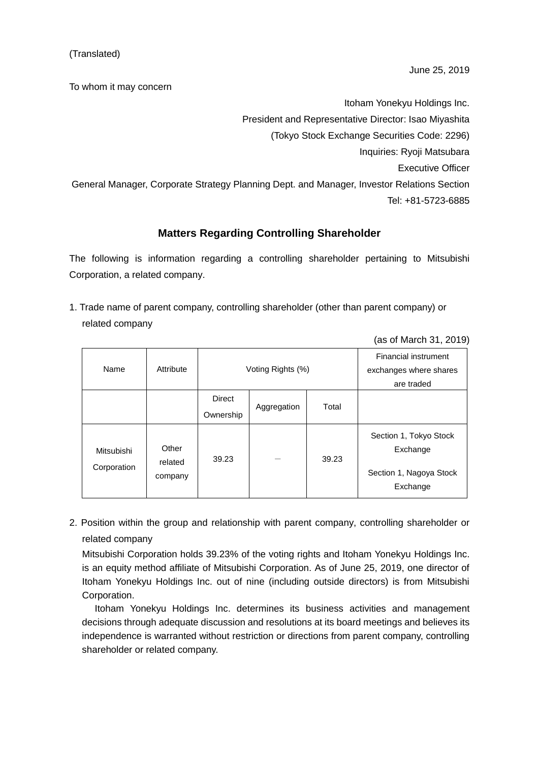To whom it may concern

Itoham Yonekyu Holdings Inc. President and Representative Director: Isao Miyashita (Tokyo Stock Exchange Securities Code: 2296) Inquiries: Ryoji Matsubara Executive Officer General Manager, Corporate Strategy Planning Dept. and Manager, Investor Relations Section Tel: +81-5723-6885

## **Matters Regarding Controlling Shareholder**

The following is information regarding a controlling shareholder pertaining to Mitsubishi Corporation, a related company.

1. Trade name of parent company, controlling shareholder (other than parent company) or related company

|                           |                             |                            |                   |                                                                     | $(0.0011)$ $(0.0010)$                                                     |  |
|---------------------------|-----------------------------|----------------------------|-------------------|---------------------------------------------------------------------|---------------------------------------------------------------------------|--|
| Name                      | Attribute                   |                            | Voting Rights (%) | <b>Financial instrument</b><br>exchanges where shares<br>are traded |                                                                           |  |
|                           |                             | <b>Direct</b><br>Ownership | Aggregation       | Total                                                               |                                                                           |  |
| Mitsubishi<br>Corporation | Other<br>related<br>company | 39.23                      |                   | 39.23                                                               | Section 1, Tokyo Stock<br>Exchange<br>Section 1, Nagoya Stock<br>Exchange |  |

(as of March 31, 2019)

2. Position within the group and relationship with parent company, controlling shareholder or related company

Mitsubishi Corporation holds 39.23% of the voting rights and Itoham Yonekyu Holdings Inc. is an equity method affiliate of Mitsubishi Corporation. As of June 25, 2019, one director of Itoham Yonekyu Holdings Inc. out of nine (including outside directors) is from Mitsubishi Corporation.

Itoham Yonekyu Holdings Inc. determines its business activities and management decisions through adequate discussion and resolutions at its board meetings and believes its independence is warranted without restriction or directions from parent company, controlling shareholder or related company.